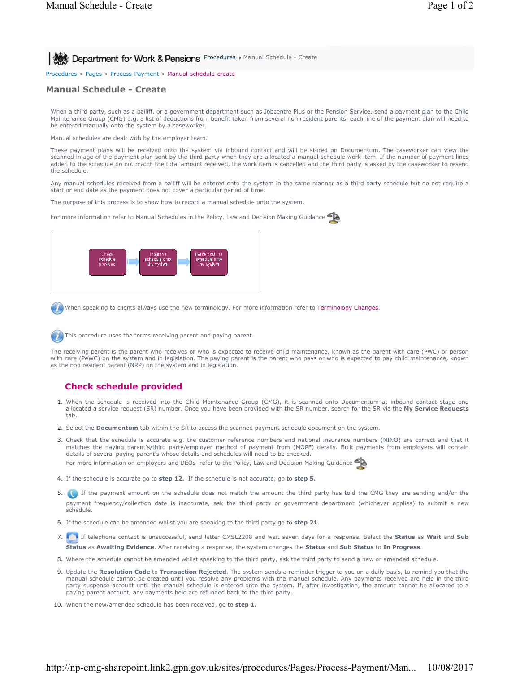**Procedures Manual Schedule - Create** Schedule - Create

Procedures > Pages > Process-Payment > Manual-schedule-create

### **Manual Schedule - Create**

When a third party, such as a bailiff, or a government department such as Jobcentre Plus or the Pension Service, send a payment plan to the Child Maintenance Group (CMG) e.g. a list of deductions from benefit taken from several non resident parents, each line of the payment plan will need to be entered manually onto the system by a caseworker.

Manual schedules are dealt with by the employer team.

These payment plans will be received onto the system via inbound contact and will be stored on Documentum. The caseworker can view the scanned image of the payment plan sent by the third party when they are allocated a manual schedule work item. If the number of payment lines added to the schedule do not match the total amount received, the work item is cancelled and the third party is asked by the caseworker to resend the schedule.

Any manual schedules received from a bailiff will be entered onto the system in the same manner as a third party schedule but do not require a start or end date as the payment does not cover a particular period of time.

The purpose of this process is to show how to record a manual schedule onto the system.

For more information refer to Manual Schedules in the Policy, Law and Decision Making Guidance



When speaking to clients always use the new terminology. For more information refer to Terminology Changes.

This procedure uses the terms receiving parent and paying parent.

The receiving parent is the parent who receives or who is expected to receive child maintenance, known as the parent with care (PWC) or person with care (PeWC) on the system and in legislation. The paying parent is the parent who pays or who is expected to pay child maintenance, known as the non resident parent (NRP) on the system and in legislation.

# **Check schedule provided**

- 1. When the schedule is received into the Child Maintenance Group (CMG), it is scanned onto Documentum at inbound contact stage and allocated a service request (SR) number. Once you have been provided with the SR number, search for the SR via the **My Service Requests** tab.
- 2. Select the **Documentum** tab within the SR to access the scanned payment schedule document on the system.
- 3. Check that the schedule is accurate e.g. the customer reference numbers and national insurance numbers (NINO) are correct and that it matches the paying parent's/third party/employer method of payment from (MOPF) details. Bulk payments from employers will contain details of several paying parent's whose details and schedules will need to be checked. For more information on employers and DEOs refer to the Policy, Law and Decision Making Guidance
- 4. If the schedule is accurate go to **step 12.** If the schedule is not accurate, go to **step 5.**
- If the payment amount on the schedule does not match the amount the third party has told the CMG they are sending and/or the 5. payment frequency/collection date is inaccurate, ask the third party or government department (whichever applies) to submit a new schedule.
- 6. If the schedule can be amended whilst you are speaking to the third party go to **step 21**.
- If telephone contact is unsuccessful, send letter CMSL2208 and wait seven days for a response. Select the **Status** as **Wait** and **Sub**  7. **Status** as **Awaiting Evidence**. After receiving a response, the system changes the **Status** and **Sub Status** to **In Progress**.
- 8. Where the schedule cannot be amended whilst speaking to the third party, ask the third party to send a new or amended schedule.
- **9.** Update the Resolution Code to Transaction Rejected. The system sends a reminder trigger to you on a daily basis, to remind you that the manual schedule cannot be created until you resolve any problems with the manual schedule. Any payments received are held in the third party suspense account until the manual schedule is entered onto the system. If, after investigation, the amount cannot be allocated to a paying parent account, any payments held are refunded back to the third party.
- 10. When the new/amended schedule has been received, go to **step 1.**

## http://np-cmg-sharepoint.link2.gpn.gov.uk/sites/procedures/Pages/Process-Payment/Man... 10/08/2017